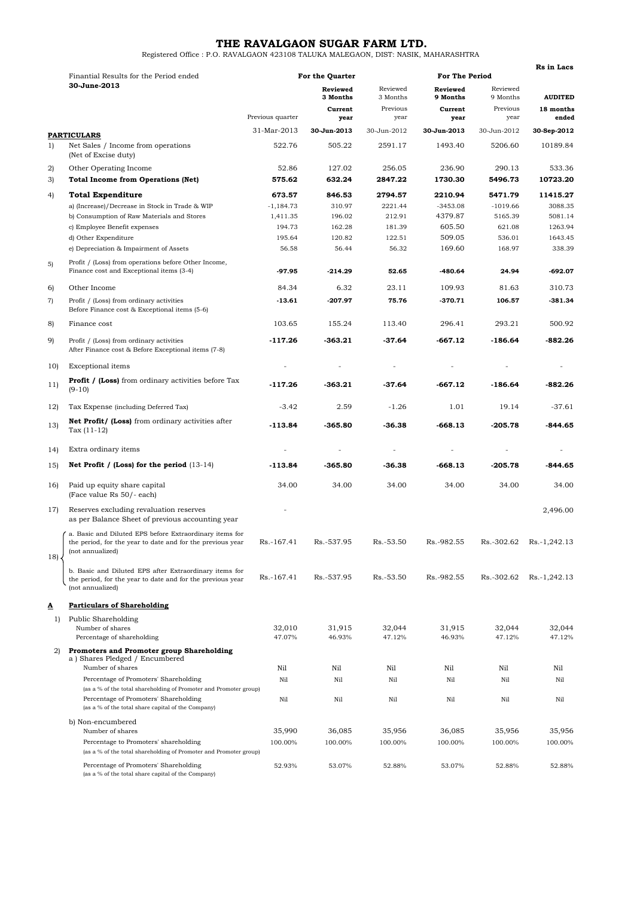**THE RAVALGAON SUGAR FARM LTD.** Registered Office : P.O. RAVALGAON 423108 TALUKA MALEGAON, DIST: NASIK, MAHARASHTRA

|     |                                                                                                                                           |                   |                      |                      |                             |                      | Rs in Lacs         |  |
|-----|-------------------------------------------------------------------------------------------------------------------------------------------|-------------------|----------------------|----------------------|-----------------------------|----------------------|--------------------|--|
|     | Finantial Results for the Period ended<br>30-June-2013                                                                                    | For the Quarter   |                      |                      | For The Period              |                      |                    |  |
|     |                                                                                                                                           |                   | Reviewed<br>3 Months | Reviewed<br>3 Months | <b>Reviewed</b><br>9 Months | Reviewed<br>9 Months | <b>AUDITED</b>     |  |
|     |                                                                                                                                           | Previous quarter  | Current<br>year      | Previous<br>year     | Current<br>year             | Previous<br>year     | 18 months<br>ended |  |
|     | <b>PARTICULARS</b>                                                                                                                        | 31-Mar-2013       | 30-Jun-2013          | 30-Jun-2012          | 30-Jun-2013                 | 30-Jun-2012          | 30-Sep-2012        |  |
| 1)  | Net Sales / Income from operations<br>(Net of Excise duty)                                                                                | 522.76            | 505.22               | 2591.17              | 1493.40                     | 5206.60              | 10189.84           |  |
| 2)  | Other Operating Income                                                                                                                    | 52.86             | 127.02               | 256.05               | 236.90                      | 290.13               | 533.36             |  |
| 3)  | <b>Total Income from Operations (Net)</b>                                                                                                 | 575.62            | 632.24               | 2847.22              | 1730.30                     | 5496.73              | 10723.20           |  |
| 4)  | <b>Total Expenditure</b>                                                                                                                  | 673.57            | 846.53               | 2794.57              | 2210.94                     | 5471.79              | 11415.27           |  |
|     | a) (Increase)/Decrease in Stock in Trade & WIP                                                                                            | $-1,184.73$       | 310.97               | 2221.44              | $-3453.08$                  | $-1019.66$           | 3088.35            |  |
|     | b) Consumption of Raw Materials and Stores                                                                                                | 1,411.35          | 196.02               | 212.91               | 4379.87                     | 5165.39              | 5081.14            |  |
|     | c) Employee Benefit expenses<br>d) Other Expenditure                                                                                      | 194.73<br>195.64  | 162.28<br>120.82     | 181.39<br>122.51     | 605.50<br>509.05            | 621.08<br>536.01     | 1263.94<br>1643.45 |  |
|     | e) Depreciation & Impairment of Assets                                                                                                    | 56.58             | 56.44                | 56.32                | 169.60                      | 168.97               | 338.39             |  |
| 5)  | Profit / (Loss) from operations before Other Income,<br>Finance cost and Exceptional items (3-4)                                          | -97.95            | $-214.29$            | 52.65                | $-480.64$                   | 24.94                | $-692.07$          |  |
|     |                                                                                                                                           |                   |                      |                      |                             |                      |                    |  |
| 6)  | Other Income                                                                                                                              | 84.34             | 6.32                 | 23.11                | 109.93                      | 81.63                | 310.73             |  |
| 7)  | Profit / (Loss) from ordinary activities<br>Before Finance cost & Exceptional items (5-6)                                                 | $-13.61$          | -207.97              | 75.76                | $-370.71$                   | 106.57               | $-381.34$          |  |
| 8)  | Finance cost                                                                                                                              | 103.65            | 155.24               | 113.40               | 296.41                      | 293.21               | 500.92             |  |
| 9)  | Profit / (Loss) from ordinary activities<br>After Finance cost & Before Exceptional items (7-8)                                           | $-117.26$         | $-363.21$            | -37.64               | -667.12                     | -186.64              | -882.26            |  |
| 10) | Exceptional items                                                                                                                         |                   |                      |                      |                             |                      |                    |  |
| 11) | <b>Profit / (Loss)</b> from ordinary activities before Tax<br>$(9-10)$                                                                    | $-117.26$         | $-363.21$            | $-37.64$             | -667.12                     | $-186.64$            | $-882.26$          |  |
| 12) | Tax Expense (including Deferred Tax)                                                                                                      | $-3.42$           | 2.59                 | $-1.26$              | 1.01                        | 19.14                | $-37.61$           |  |
| 13) | Net Profit/ (Loss) from ordinary activities after                                                                                         | $-113.84$         | $-365.80$            | $-36.38$             | -668.13                     | $-205.78$            | $-844.65$          |  |
|     | Tax $(11-12)$                                                                                                                             |                   |                      |                      |                             |                      |                    |  |
| 14) | Extra ordinary items                                                                                                                      |                   |                      |                      |                             |                      |                    |  |
| 15) | Net Profit / (Loss) for the period $(13-14)$                                                                                              | $-113.84$         | $-365.80$            | -36.38               | -668.13                     | -205.78              | $-844.65$          |  |
| 16) | Paid up equity share capital<br>(Face value Rs 50/- each)                                                                                 | 34.00             | 34.00                | 34.00                | 34.00                       | 34.00                | 34.00              |  |
| 17) | Reserves excluding revaluation reserves<br>as per Balance Sheet of previous accounting year                                               |                   |                      |                      |                             |                      | 2,496.00           |  |
| 18) | a. Basic and Diluted EPS before Extraordinary items for<br>the period, for the year to date and for the previous year<br>(not annualized) | Rs.-167.41        | Rs.-537.95           | Rs.-53.50            | Rs.-982.55                  | Rs.-302.62           | Rs.-1,242.13       |  |
|     | b. Basic and Diluted EPS after Extraordinary items for<br>the period, for the year to date and for the previous year<br>(not annualized)  | Rs.-167.41        | Rs.-537.95           | Rs.-53.50            | Rs.-982.55                  | Rs.-302.62           | Rs.-1,242.13       |  |
| ≜   | <b>Particulars of Shareholding</b>                                                                                                        |                   |                      |                      |                             |                      |                    |  |
| 1)  | Public Shareholding                                                                                                                       |                   |                      |                      |                             |                      |                    |  |
|     | Number of shares<br>Percentage of shareholding                                                                                            | 32,010            | 31,915               | 32,044               | 31,915<br>46.93%            | 32,044               | 32,044             |  |
|     |                                                                                                                                           | 47.07%            | 46.93%               | 47.12%               |                             | 47.12%               | 47.12%             |  |
| 2)  | Promoters and Promoter group Shareholding<br>a) Shares Pledged / Encumbered                                                               |                   |                      |                      |                             |                      |                    |  |
|     | Number of shares                                                                                                                          | Nil               | Nil                  | Nil                  | Nil                         | Nil                  | Nil                |  |
|     | Percentage of Promoters' Shareholding<br>(as a % of the total shareholding of Promoter and Promoter group)                                | Nil               | Nil                  | Nil                  | Nil                         | Nil                  | Nil                |  |
|     | Percentage of Promoters' Shareholding<br>(as a % of the total share capital of the Company)                                               | Nil               | Nil                  | Nil                  | Nil                         | Nil                  | Nil                |  |
|     | b) Non-encumbered                                                                                                                         |                   |                      |                      |                             |                      |                    |  |
|     | Number of shares<br>Percentage to Promoters' shareholding                                                                                 | 35,990<br>100.00% | 36,085<br>100.00%    | 35,956<br>100.00%    | 36,085<br>100.00%           | 35,956<br>100.00%    | 35,956<br>100.00%  |  |
|     | (as a % of the total shareholding of Promoter and Promoter group)                                                                         |                   |                      |                      |                             |                      |                    |  |
|     | Percentage of Promoters' Shareholding<br>(as a % of the total share capital of the Company)                                               | 52.93%            | 53.07%               | 52.88%               | 53.07%                      | 52.88%               | 52.88%             |  |